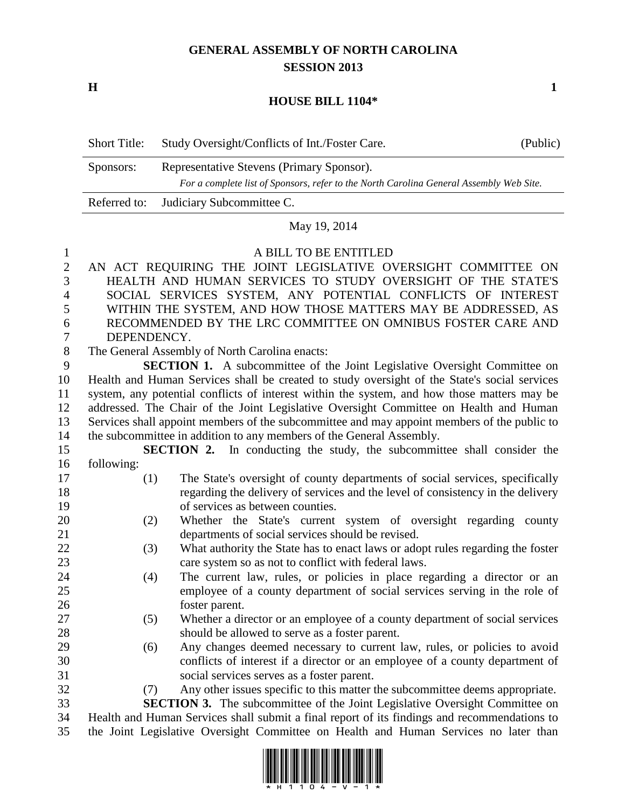## **GENERAL ASSEMBLY OF NORTH CAROLINA SESSION 2013**

**H 1**

### **HOUSE BILL 1104\***

| <b>Short Title:</b> | Study Oversight/Conflicts of Int./Foster Care.                                          | (Public) |
|---------------------|-----------------------------------------------------------------------------------------|----------|
| Sponsors:           | Representative Stevens (Primary Sponsor).                                               |          |
|                     | For a complete list of Sponsors, refer to the North Carolina General Assembly Web Site. |          |
|                     | Referred to: Judiciary Subcommittee C.                                                  |          |

## May 19, 2014

### A BILL TO BE ENTITLED

- AN ACT REQUIRING THE JOINT LEGISLATIVE OVERSIGHT COMMITTEE ON HEALTH AND HUMAN SERVICES TO STUDY OVERSIGHT OF THE STATE'S SOCIAL SERVICES SYSTEM, ANY POTENTIAL CONFLICTS OF INTEREST WITHIN THE SYSTEM, AND HOW THOSE MATTERS MAY BE ADDRESSED, AS RECOMMENDED BY THE LRC COMMITTEE ON OMNIBUS FOSTER CARE AND DEPENDENCY.
- The General Assembly of North Carolina enacts:

 **SECTION 1.** A subcommittee of the Joint Legislative Oversight Committee on Health and Human Services shall be created to study oversight of the State's social services system, any potential conflicts of interest within the system, and how those matters may be addressed. The Chair of the Joint Legislative Oversight Committee on Health and Human Services shall appoint members of the subcommittee and may appoint members of the public to the subcommittee in addition to any members of the General Assembly.

- **SECTION 2.** In conducting the study, the subcommittee shall consider the following:
- (1) The State's oversight of county departments of social services, specifically regarding the delivery of services and the level of consistency in the delivery of services as between counties.
- (2) Whether the State's current system of oversight regarding county departments of social services should be revised.
- (3) What authority the State has to enact laws or adopt rules regarding the foster care system so as not to conflict with federal laws.
- (4) The current law, rules, or policies in place regarding a director or an employee of a county department of social services serving in the role of foster parent.
- (5) Whether a director or an employee of a county department of social services should be allowed to serve as a foster parent.
- (6) Any changes deemed necessary to current law, rules, or policies to avoid conflicts of interest if a director or an employee of a county department of social services serves as a foster parent.
- (7) Any other issues specific to this matter the subcommittee deems appropriate.

 **SECTION 3.** The subcommittee of the Joint Legislative Oversight Committee on Health and Human Services shall submit a final report of its findings and recommendations to the Joint Legislative Oversight Committee on Health and Human Services no later than